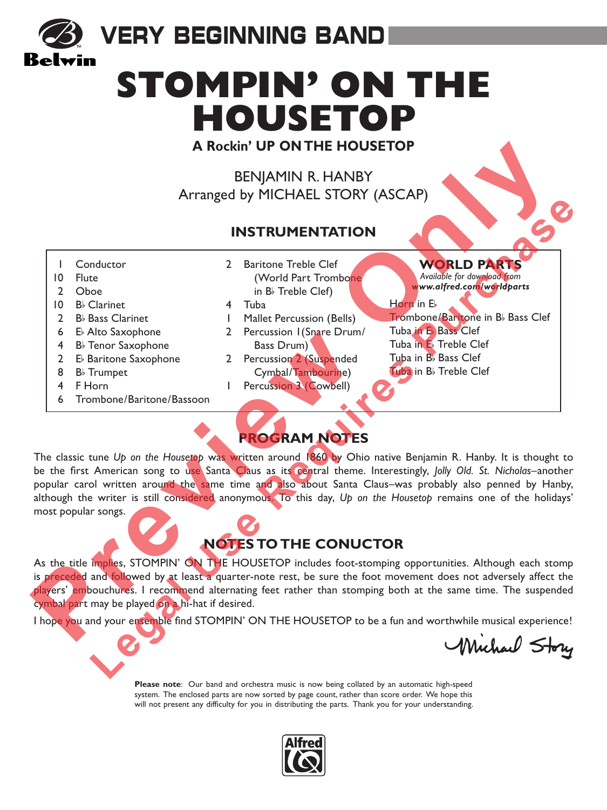

# **STOMPIN' ON THE HOUSETOP**

**A Rockin' UP ON THE HOUSETOP**

BENJAMIN R. HANBY Arranged by MICHAEL STORY (ASCAP)

#### **INSTRUMENTATION**

- 1 Conductor
- 10 Flute

**Belvin** 

- 2 Oboe
- 10 B<sub>b</sub> Clarinet
- 2 B<sub>b</sub> Bass Clarinet
- 6 El Alto Saxophone
- 4 B<sub>b</sub> Tenor Saxophone
- 2 E<sub>b</sub> Baritone Saxophone
- 8 B<sub>b</sub> Trumpet
- 4 F Horn
- 6 Trombone/Baritone/Bassoon
- 2 Baritone Treble Clef (World Part Trombone in B♭ Treble Clef)
- 4 Tuba
- 1 Mallet Percussion (Bells)
- 2 Percussion 1(Snare Drum/ Bass Drum)
- 2 Percussion 2 (Suspended Cymbal/Tambourine)
- 1 Percussion 3 (Cowbell)

#### **WORLD PARTS** *Available for download from*

*www.alfred.com/worldparts*

#### Horn in El

- Trombone/Baritone in B<sub>b</sub> Bass Clef Tuba <mark>in El Bass</mark> Clef Tuba i<mark>n E</mark>. Treble Clef Tuba in B<sub>b</sub> Bass Clef
- Tuba in B<sub>r</sub>Treble Clef

### **PROGRAM NOTES**

The classic tune *Up on the Housetop* was written around 1860 by Ohio native Benjamin R. Hanby. It is thought to be the first American song to use Santa Claus as its central theme. Interestingly, *Jolly Old. St. Nicholas*–another popular carol written around the same time and also about Santa Claus–was probably also penned by Hanby, although the writer is still considered anonymous. To this day, *Up on the Housetop* remains one of the holidays' most popular songs. **PRESERVE AND THE HOUSETOP (ACCAP)**<br> **PREVIEW IN THE HOUSETOP (ACCAP)**<br> **PREVIEW IN THE CONDUCTION**<br> **PREVIEW IN THE CONDUCTION**<br> **PREVIEW IN THE CONDUCTION**<br> **PREVIEW IN THE CONDUCT OF THE CONDUCT OF THE CONDUCT OF THE CO** This TRUMENTATION<br>
INSTRUMENTATION<br>
Contract contract control of the Section of the Celif (World Particular Contract contract contract contract contract contract contract contract contract contract contract contract contra

## **NOTES TO THE CONUCTOR**

As the title implies, STOMPIN' ON THE HOUSETOP includes foot-stomping opportunities. Although each stomp is preceded and followed by at least a quarter-note rest, be sure the foot movement does not adversely affect the players' embouchures. I recommend alternating feet rather than stomping both at the same time. The suspended cymbal part may be played on a hi-hat if desired.

I hope you and your ensemble find STOMPIN' ON THE HOUSETOP to be a fun and worthwhile musical experience!

**Please note**: Our band and orchestra music is now being collated by an automatic high-speed system. The enclosed parts are now sorted by page count, rather than score order. We hope this will not present any difficulty for you in distributing the parts. Thank you for your understanding.

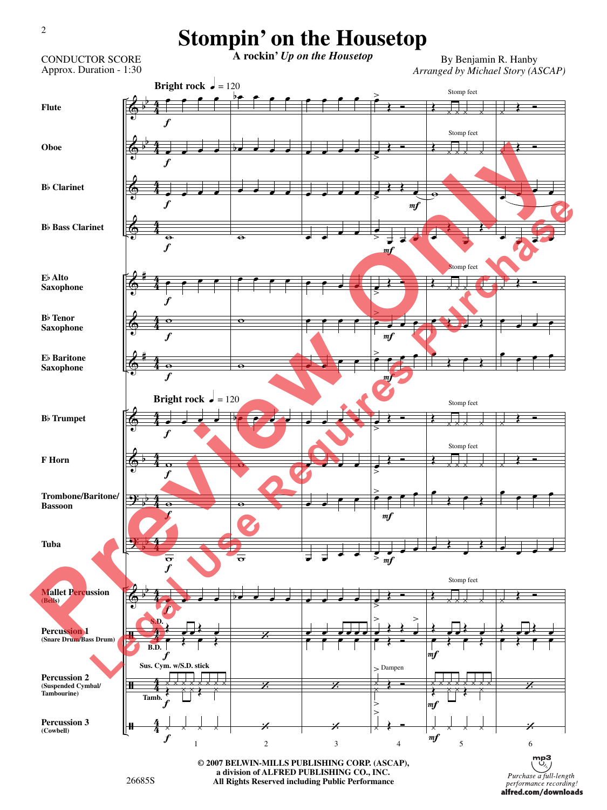### **Stompin' on the Housetop**

CONDUCTOR SCORE **A rockin'** *Up on the Housetop*

By Benjamin R. Hanby

Approx. Duration - 1:30 *Arranged by Michael Story (ASCAP)* **Bright rock**  $\boldsymbol{\bullet} = 120$ Stomp feet  $\frac{b}{c}$  e e e  $\rightarrow$  $\overline{\mathcal{C}}$  $\overrightarrow{e}$ œ œ b 4 b  $\leftarrow$   $\times$  $\overrightarrow{a}$ **Flute**  $\bm{\phi}$ 4 ¿ ¿ ¿ f Stomp feet b 4 b  $\frac{1}{2}$  $\leftarrow$   $\times$  $\begin{picture}(180,170)(0,0) \put(0,0){\vector(1,0){10}} \put(1,0){\vector(1,0){10}} \put(1,0){\vector(1,0){10}} \put(1,0){\vector(1,0){10}} \put(1,0){\vector(1,0){10}} \put(1,0){\vector(1,0){10}} \put(1,0){\vector(1,0){10}} \put(1,0){\vector(1,0){10}} \put(1,0){\vector(1,0){10}} \put(1,0){\vector(1,0){10}} \put(1,0){\vector(1,0){10}} \put(1,0){\vector(1,0){10$ **Preview Only**  $\overrightarrow{e}$ **Oboe**  $\Phi$ 4 <sup>f</sup> <sup>œ</sup> <sup>œ</sup> <sup>œ</sup> **。。。** œ œ ¿ ¿ ¿ 4  $\frac{1}{2}$ **B**b **Clarinet**  $\Phi$ 4 . . . . <sup>œ</sup> <sup>œ</sup> <sup>œ</sup> <sup>œ</sup> <sup>f</sup> <sup>œ</sup> <sup>œ</sup> <sup>œ</sup> . . . . œ œ  $\overline{\mathbf{e}}$ **Legal Use Requires Purchase** $m<sub>f</sub>$ 4  $\mathbf{P}^t$ Œ **B**b **Bass Clarinet**  $\Phi$ 4 œ  $\overline{a}$  $\overline{\bullet}$  $\overline{\bullet}$  $\frac{1}{2}$  $\frac{1}{\sqrt{2}}$  $\frac{1}{\pi}$   $\frac{1}{\pi}$ œ f tomp feet # 4 œ œ œ œ **E**b **Alto** œ œ œ œ  $\overline{\phantom{a}}$  $\frac{1}{2}$  $\leftarrow$  $\overrightarrow{a}$  $\pmb{\Phi}$ 4 œ ¿ ¿ ¿ **Saxophone** f  $\ge$ 4 **B**b **Tenor**  $\overline{\mathbf{o}}$  $\overline{\mathbf{o}}$ œ œ œ œ œ Œ œ Œ œ œ œ œ œ **e**  $\pmb{\Phi}$ 4 **Saxophone** f  $m<sub>j</sub>$  $\geq$  $\left( \begin{array}{cc} 1 & 0 \\ 0 & 1 \end{array} \right)$  $\overline{\phantom{a}}$ # œ œ 4 œ **E**b **Baritone** œ œ œ œ  $\Phi$ 4  $\overline{\bullet}$  $\overline{\bullet}$ **Saxophone** f  $m f$ **Bright rock**  $\boldsymbol{\bullet} = 120$ Stomp feet 4  $\overline{r}$  $\frac{1}{2}$  $\leftarrow$  $\overline{\mathbf{r}}$ **. Property B**b **Trumpet**  $\Phi$ 4 œ œ ¿ ¿ ¿ f Stomp feet 4 b Œ Ó  $\leftarrow$  $\overrightarrow{a}$ **F Horn**  $\Phi$ 4 w **b** œ œ œ œ ¿ ¿ ¿ œ  $\frac{1}{2}$ f  $\geq$  $\left( \begin{array}{cc} 1 & 1 \\ 1 & 1 \end{array} \right)$  $\overline{\phantom{a}}$ œ œ <u>.</u> 4 œ **Trombone/Baritone/** b  $\overrightarrow{e}$ b 4  $\overline{\bullet}$  $\overline{\bullet}$ **Bassoon** f  $m f$ **9:** 4 b  $\frac{1}{2}$ **Tuba** b 4 œ œ œ œ  $\frac{1}{m}$   $\frac{1}{m}$   $\frac{1}{m}$ œ  $\frac{1}{e}$   $\frac{1}{e}$   $\frac{1}{e}$   $\frac{1}{e}$  $\overline{\mathbf{o}}$  $\overline{\mathbf{o}}$  $m f$ f Stomp feet b 4 **Mallet Percussion** b  $\frac{1}{2}$  $\leftarrow$  $\overrightarrow{a}$  $\overrightarrow{v}$   $\overrightarrow{v}$   $\overrightarrow{v}$  $\bm{\phi}$ 4  $f$ **。。。** œ œ ¿ ¿ ¿ **(Bells)**  $\left\{\left.\begin{array}{cc} 0 & 0 \\ 0 & 0 \\ 0 & 0 \end{array}\right\}\right\}$  $\frac{1}{1}$ **S.D.** Œ  $\longleftrightarrow$  $\longleftrightarrow$ Œ  $\leftarrow$ 4 <sup>œ</sup> œ œ <sup>œ</sup> <sup>œ</sup> <sup>œ</sup> <sup>œ</sup> <sup>œ</sup> <sup>œ</sup> <sup>œ</sup> œ **Percussion 1** ã 4  $\frac{\gamma}{\gamma}$  $\overrightarrow{e}$ **(Snare Drum/Bass Drum) B.D.**  $\eta f$ **Sus. Cym. w/S.D. stick** f > Dampen **Percussion 2** 4 ¿ ¿ ¿ ¿ ¿ ¿ ¿ ¿ <sup>Œ</sup> ¿ ¿ <sup>Œ</sup> ¿ ×<br>× ∠<br>∡ ¿ ¿ ¿ ¿ ¿ ¿ ¿ <sup>Œ</sup> ¿ ¿ <sup>Œ</sup> ¿  $\frac{1}{\chi}$   $\frac{1}{\chi}$   $\frac{1}{\chi}$  $\bf{H}$ 4  $\frac{\gamma}{\gamma}$  $\frac{\gamma}{\gamma}$  $\frac{y}{x}$ **(Suspended Cymbal/ Tambourine) Tamb.** f |<br>|<br>. n1  $\overrightarrow{\downarrow}$   $\overrightarrow{t}$   $\overrightarrow{r}$ 4 **Percussion 3**  $\begin{array}{cc} \star & \star & \star \ \star & \star & \star \ \mathbf{f} & & \ &1 & \end{array}$ ¿ ¿  $\overline{\mathscr{F}}$   $\overline{\mathscr{F}}$   $\overline{\mathscr{F}}$   $\overline{\mathscr{F}}$ ¿ ã 4  $\frac{1}{2}$  $\frac{1}{2}$  $\frac{1}{2}$ **(Cowbell)** 2 3  $\overline{A}$ 5 6 1  $\begin{pmatrix} m p3 \\ U_{\lambda} \end{pmatrix}$ **© 2007 BELWIN-MILLS PUBLISHING CORP. (ASCAP), a division of ALFRED PUBLISHING CO., INC.**

**All Rights Reserved including Public Performance**

26685S

Purchase a full-length<br>!performance recording alfred.com/downloads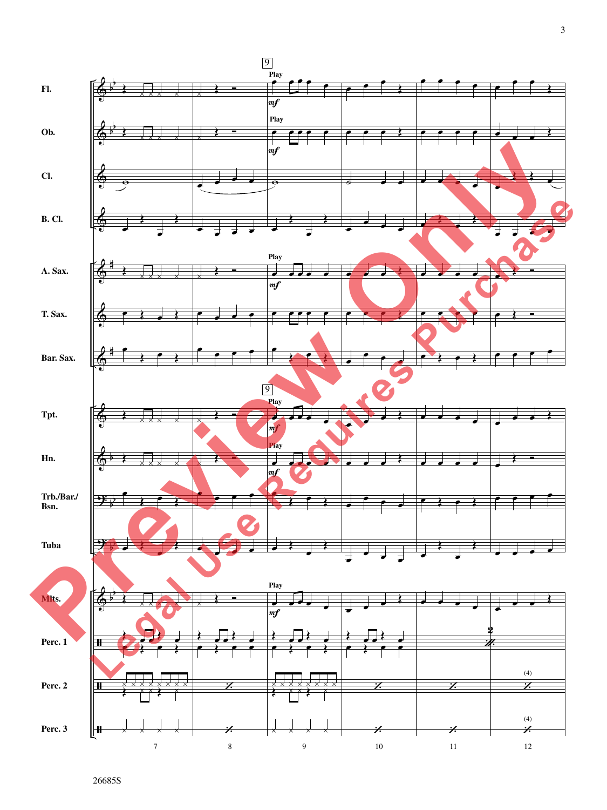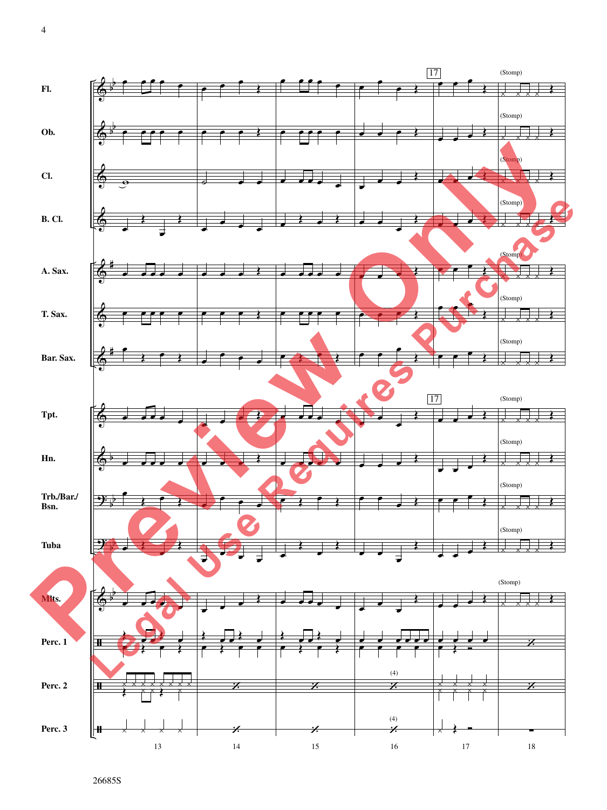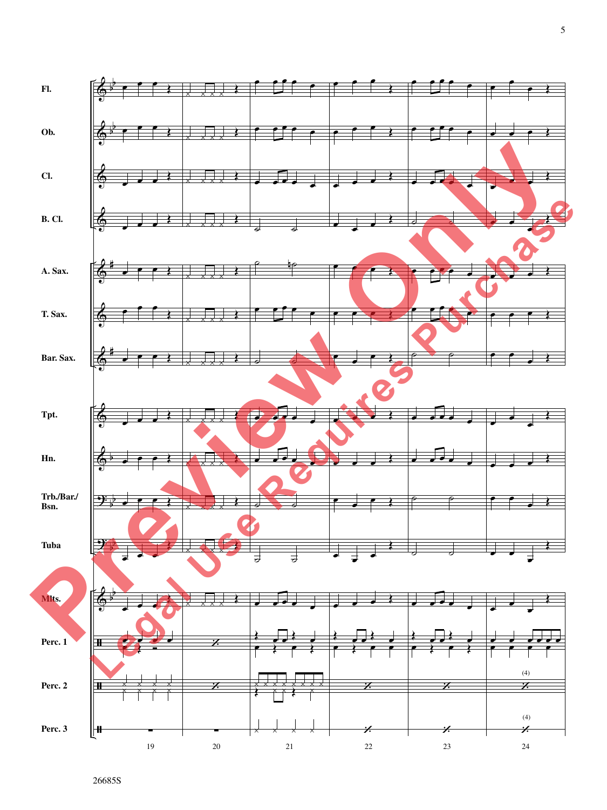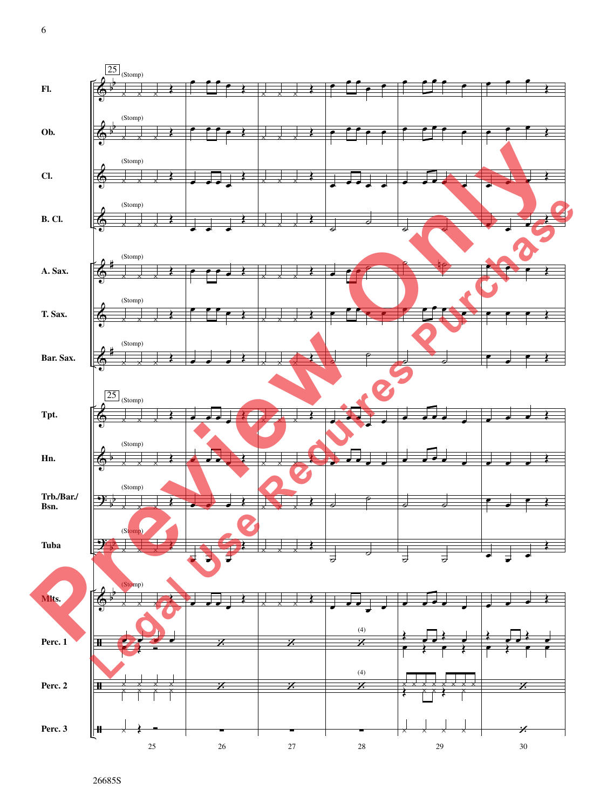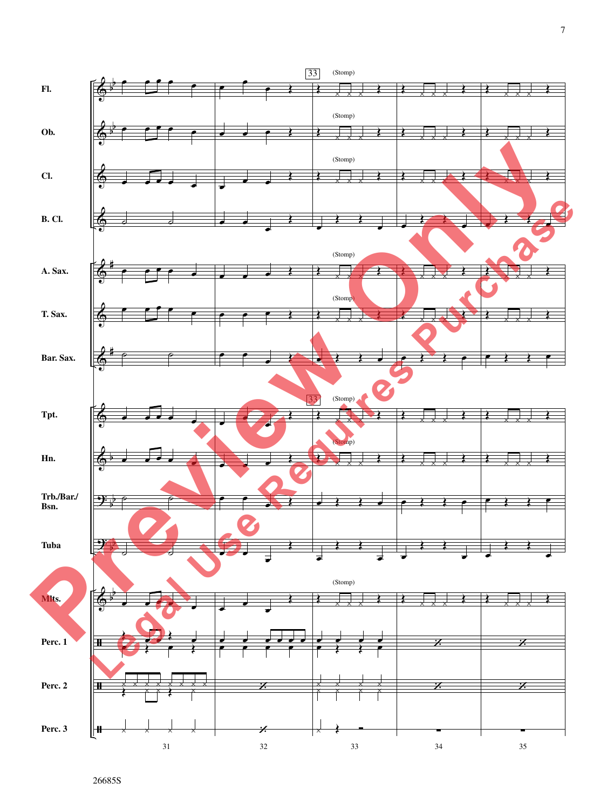